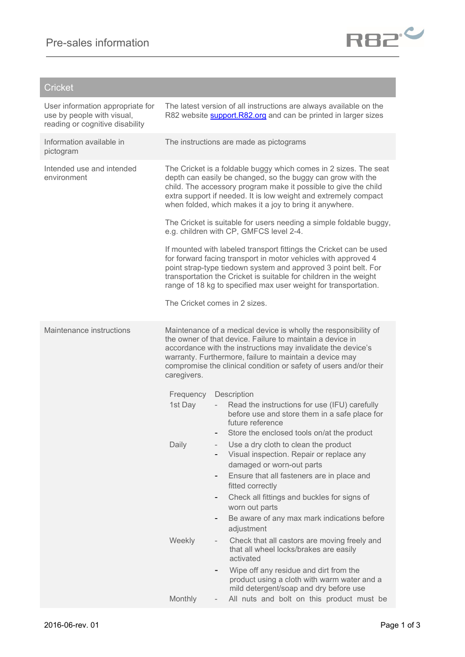

## **Cricket**

| User information appropriate for<br>use by people with visual,<br>reading or cognitive disability |                                                                                                                                                                                                                                                                                                                                  |   | The latest version of all instructions are always available on the<br>R82 website <b>support.R82.org</b> and can be printed in larger sizes                                                                                                                                                                                                    |  |
|---------------------------------------------------------------------------------------------------|----------------------------------------------------------------------------------------------------------------------------------------------------------------------------------------------------------------------------------------------------------------------------------------------------------------------------------|---|------------------------------------------------------------------------------------------------------------------------------------------------------------------------------------------------------------------------------------------------------------------------------------------------------------------------------------------------|--|
| Information available in<br>pictogram                                                             |                                                                                                                                                                                                                                                                                                                                  |   | The instructions are made as pictograms                                                                                                                                                                                                                                                                                                        |  |
| Intended use and intended<br>environment                                                          | The Cricket is a foldable buggy which comes in 2 sizes. The seat<br>depth can easily be changed, so the buggy can grow with the<br>child. The accessory program make it possible to give the child<br>extra support if needed. It is low weight and extremely compact<br>when folded, which makes it a joy to bring it anywhere. |   |                                                                                                                                                                                                                                                                                                                                                |  |
|                                                                                                   | The Cricket is suitable for users needing a simple foldable buggy,<br>e.g. children with CP, GMFCS level 2-4.                                                                                                                                                                                                                    |   |                                                                                                                                                                                                                                                                                                                                                |  |
|                                                                                                   |                                                                                                                                                                                                                                                                                                                                  |   | If mounted with labeled transport fittings the Cricket can be used<br>for forward facing transport in motor vehicles with approved 4<br>point strap-type tiedown system and approved 3 point belt. For<br>transportation the Cricket is suitable for children in the weight<br>range of 18 kg to specified max user weight for transportation. |  |
|                                                                                                   | The Cricket comes in 2 sizes.                                                                                                                                                                                                                                                                                                    |   |                                                                                                                                                                                                                                                                                                                                                |  |
| Maintenance instructions                                                                          | caregivers.                                                                                                                                                                                                                                                                                                                      |   | Maintenance of a medical device is wholly the responsibility of<br>the owner of that device. Failure to maintain a device in<br>accordance with the instructions may invalidate the device's<br>warranty. Furthermore, failure to maintain a device may<br>compromise the clinical condition or safety of users and/or their                   |  |
|                                                                                                   | Frequency                                                                                                                                                                                                                                                                                                                        |   | Description                                                                                                                                                                                                                                                                                                                                    |  |
|                                                                                                   | 1st Day                                                                                                                                                                                                                                                                                                                          |   | Read the instructions for use (IFU) carefully<br>before use and store them in a safe place for<br>future reference                                                                                                                                                                                                                             |  |
|                                                                                                   | Daily                                                                                                                                                                                                                                                                                                                            |   | Store the enclosed tools on/at the product<br>Use a dry cloth to clean the product<br>Visual inspection. Repair or replace any<br>damaged or worn-out parts<br>Ensure that all fasteners are in place and<br>fitted correctly                                                                                                                  |  |
|                                                                                                   |                                                                                                                                                                                                                                                                                                                                  | ۰ | Check all fittings and buckles for signs of<br>worn out parts<br>Be aware of any max mark indications before                                                                                                                                                                                                                                   |  |
|                                                                                                   |                                                                                                                                                                                                                                                                                                                                  |   | adjustment                                                                                                                                                                                                                                                                                                                                     |  |
|                                                                                                   | Weekly                                                                                                                                                                                                                                                                                                                           |   | Check that all castors are moving freely and<br>that all wheel locks/brakes are easily<br>activated                                                                                                                                                                                                                                            |  |
|                                                                                                   |                                                                                                                                                                                                                                                                                                                                  |   | Wipe off any residue and dirt from the<br>product using a cloth with warm water and a<br>mild detergent/soap and dry before use                                                                                                                                                                                                                |  |
|                                                                                                   | Monthly                                                                                                                                                                                                                                                                                                                          |   | All nuts and bolt on this product must be                                                                                                                                                                                                                                                                                                      |  |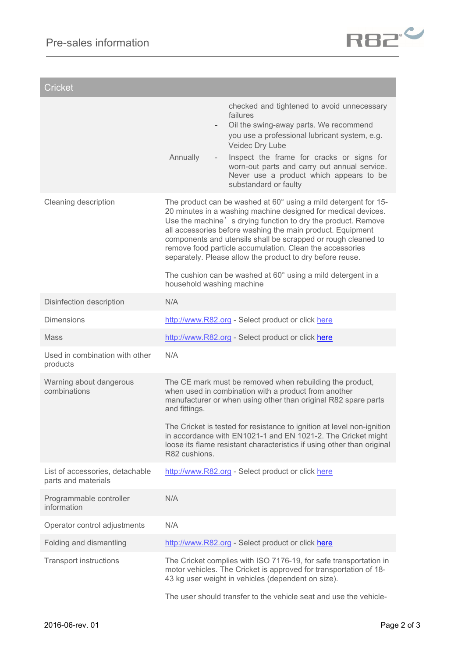

| <b>Cricket</b>                                         |                                                                                                                                                                                                                                                                                                                                                                                                                                                                                                                                                       |
|--------------------------------------------------------|-------------------------------------------------------------------------------------------------------------------------------------------------------------------------------------------------------------------------------------------------------------------------------------------------------------------------------------------------------------------------------------------------------------------------------------------------------------------------------------------------------------------------------------------------------|
|                                                        | checked and tightened to avoid unnecessary<br>failures<br>Oil the swing-away parts. We recommend<br>$\qquad \qquad \blacksquare$<br>you use a professional lubricant system, e.g.<br>Veidec Dry Lube<br>Annually<br>Inspect the frame for cracks or signs for<br>worn-out parts and carry out annual service.<br>Never use a product which appears to be<br>substandard or faulty                                                                                                                                                                     |
| Cleaning description                                   | The product can be washed at 60° using a mild detergent for 15-<br>20 minutes in a washing machine designed for medical devices.<br>Use the machine's drying function to dry the product. Remove<br>all accessories before washing the main product. Equipment<br>components and utensils shall be scrapped or rough cleaned to<br>remove food particle accumulation. Clean the accessories<br>separately. Please allow the product to dry before reuse.<br>The cushion can be washed at 60° using a mild detergent in a<br>household washing machine |
| Disinfection description                               | N/A                                                                                                                                                                                                                                                                                                                                                                                                                                                                                                                                                   |
| <b>Dimensions</b>                                      | http://www.R82.org - Select product or click here                                                                                                                                                                                                                                                                                                                                                                                                                                                                                                     |
| <b>Mass</b>                                            | http://www.R82.org - Select product or click here                                                                                                                                                                                                                                                                                                                                                                                                                                                                                                     |
| Used in combination with other<br>products             | N/A                                                                                                                                                                                                                                                                                                                                                                                                                                                                                                                                                   |
| Warning about dangerous<br>combinations                | The CE mark must be removed when rebuilding the product,<br>when used in combination with a product from another<br>manufacturer or when using other than original R82 spare parts<br>and fittings.<br>The Cricket is tested for resistance to ignition at level non-ignition<br>in accordance with EN1021-1 and EN 1021-2. The Cricket might<br>loose its flame resistant characteristics if using other than original<br>R82 cushions.                                                                                                              |
| List of accessories, detachable<br>parts and materials | http://www.R82.org - Select product or click here                                                                                                                                                                                                                                                                                                                                                                                                                                                                                                     |
| Programmable controller<br>information                 | N/A                                                                                                                                                                                                                                                                                                                                                                                                                                                                                                                                                   |
| Operator control adjustments                           | N/A                                                                                                                                                                                                                                                                                                                                                                                                                                                                                                                                                   |
| Folding and dismantling                                | http://www.R82.org - Select product or click here                                                                                                                                                                                                                                                                                                                                                                                                                                                                                                     |
| <b>Transport instructions</b>                          | The Cricket complies with ISO 7176-19, for safe transportation in<br>motor vehicles. The Cricket is approved for transportation of 18-<br>43 kg user weight in vehicles (dependent on size).<br>The user should transfer to the vehicle seat and use the vehicle-                                                                                                                                                                                                                                                                                     |